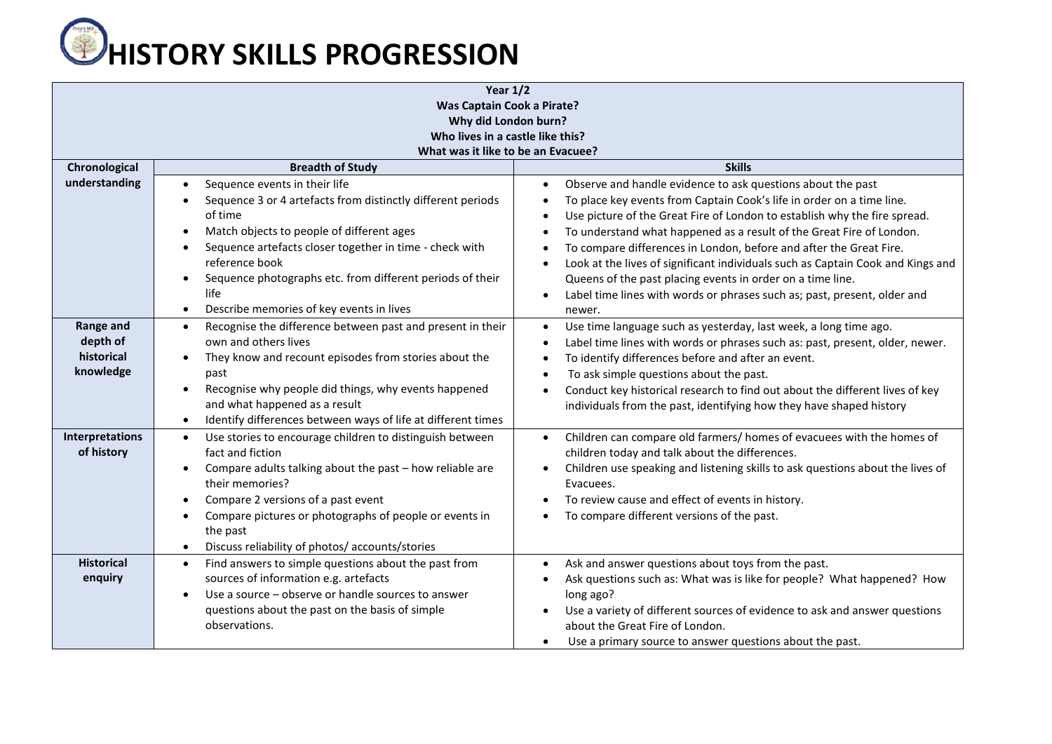## **C**HISTORY SKILLS PROGRESSION

| Year $1/2$                                       |                                                                                                                                                                                                                                                                                                                                                                                             |                                                                                                                                                                                                                                                                                                                                                                                                                                                                                                                                                                                                |  |  |  |  |
|--------------------------------------------------|---------------------------------------------------------------------------------------------------------------------------------------------------------------------------------------------------------------------------------------------------------------------------------------------------------------------------------------------------------------------------------------------|------------------------------------------------------------------------------------------------------------------------------------------------------------------------------------------------------------------------------------------------------------------------------------------------------------------------------------------------------------------------------------------------------------------------------------------------------------------------------------------------------------------------------------------------------------------------------------------------|--|--|--|--|
| <b>Was Captain Cook a Pirate?</b>                |                                                                                                                                                                                                                                                                                                                                                                                             |                                                                                                                                                                                                                                                                                                                                                                                                                                                                                                                                                                                                |  |  |  |  |
| Why did London burn?                             |                                                                                                                                                                                                                                                                                                                                                                                             |                                                                                                                                                                                                                                                                                                                                                                                                                                                                                                                                                                                                |  |  |  |  |
| Who lives in a castle like this?                 |                                                                                                                                                                                                                                                                                                                                                                                             |                                                                                                                                                                                                                                                                                                                                                                                                                                                                                                                                                                                                |  |  |  |  |
|                                                  | What was it like to be an Evacuee?                                                                                                                                                                                                                                                                                                                                                          |                                                                                                                                                                                                                                                                                                                                                                                                                                                                                                                                                                                                |  |  |  |  |
| Chronological                                    | <b>Breadth of Study</b>                                                                                                                                                                                                                                                                                                                                                                     | <b>Skills</b>                                                                                                                                                                                                                                                                                                                                                                                                                                                                                                                                                                                  |  |  |  |  |
| understanding                                    | Sequence events in their life<br>$\bullet$<br>Sequence 3 or 4 artefacts from distinctly different periods<br>$\bullet$<br>of time<br>Match objects to people of different ages<br>$\bullet$<br>Sequence artefacts closer together in time - check with<br>reference book<br>Sequence photographs etc. from different periods of their<br>$\bullet$                                          | Observe and handle evidence to ask questions about the past<br>$\bullet$<br>To place key events from Captain Cook's life in order on a time line.<br>$\bullet$<br>Use picture of the Great Fire of London to establish why the fire spread.<br>$\bullet$<br>To understand what happened as a result of the Great Fire of London.<br>$\bullet$<br>To compare differences in London, before and after the Great Fire.<br>$\bullet$<br>Look at the lives of significant individuals such as Captain Cook and Kings and<br>$\bullet$<br>Queens of the past placing events in order on a time line. |  |  |  |  |
|                                                  | life<br>Describe memories of key events in lives<br>$\bullet$                                                                                                                                                                                                                                                                                                                               | Label time lines with words or phrases such as; past, present, older and<br>$\bullet$<br>newer.                                                                                                                                                                                                                                                                                                                                                                                                                                                                                                |  |  |  |  |
| Range and<br>depth of<br>historical<br>knowledge | Recognise the difference between past and present in their<br>$\bullet$<br>own and others lives<br>They know and recount episodes from stories about the<br>past<br>Recognise why people did things, why events happened<br>$\bullet$<br>and what happened as a result<br>Identify differences between ways of life at different times<br>$\bullet$                                         | Use time language such as yesterday, last week, a long time ago.<br>$\bullet$<br>Label time lines with words or phrases such as: past, present, older, newer.<br>$\bullet$<br>To identify differences before and after an event.<br>$\bullet$<br>To ask simple questions about the past.<br>$\bullet$<br>Conduct key historical research to find out about the different lives of key<br>$\bullet$<br>individuals from the past, identifying how they have shaped history                                                                                                                      |  |  |  |  |
| Interpretations<br>of history                    | Use stories to encourage children to distinguish between<br>$\bullet$<br>fact and fiction<br>Compare adults talking about the past - how reliable are<br>$\bullet$<br>their memories?<br>Compare 2 versions of a past event<br>$\bullet$<br>Compare pictures or photographs of people or events in<br>$\bullet$<br>the past<br>Discuss reliability of photos/ accounts/stories<br>$\bullet$ | Children can compare old farmers/ homes of evacuees with the homes of<br>$\bullet$<br>children today and talk about the differences.<br>Children use speaking and listening skills to ask questions about the lives of<br>$\bullet$<br>Evacuees.<br>To review cause and effect of events in history.<br>$\bullet$<br>To compare different versions of the past.                                                                                                                                                                                                                                |  |  |  |  |
| <b>Historical</b><br>enquiry                     | Find answers to simple questions about the past from<br>$\bullet$<br>sources of information e.g. artefacts<br>Use a source - observe or handle sources to answer<br>$\bullet$<br>questions about the past on the basis of simple<br>observations.                                                                                                                                           | Ask and answer questions about toys from the past.<br>$\bullet$<br>Ask questions such as: What was is like for people? What happened? How<br>$\bullet$<br>long ago?<br>Use a variety of different sources of evidence to ask and answer questions<br>$\bullet$<br>about the Great Fire of London.<br>Use a primary source to answer questions about the past.<br>$\bullet$                                                                                                                                                                                                                     |  |  |  |  |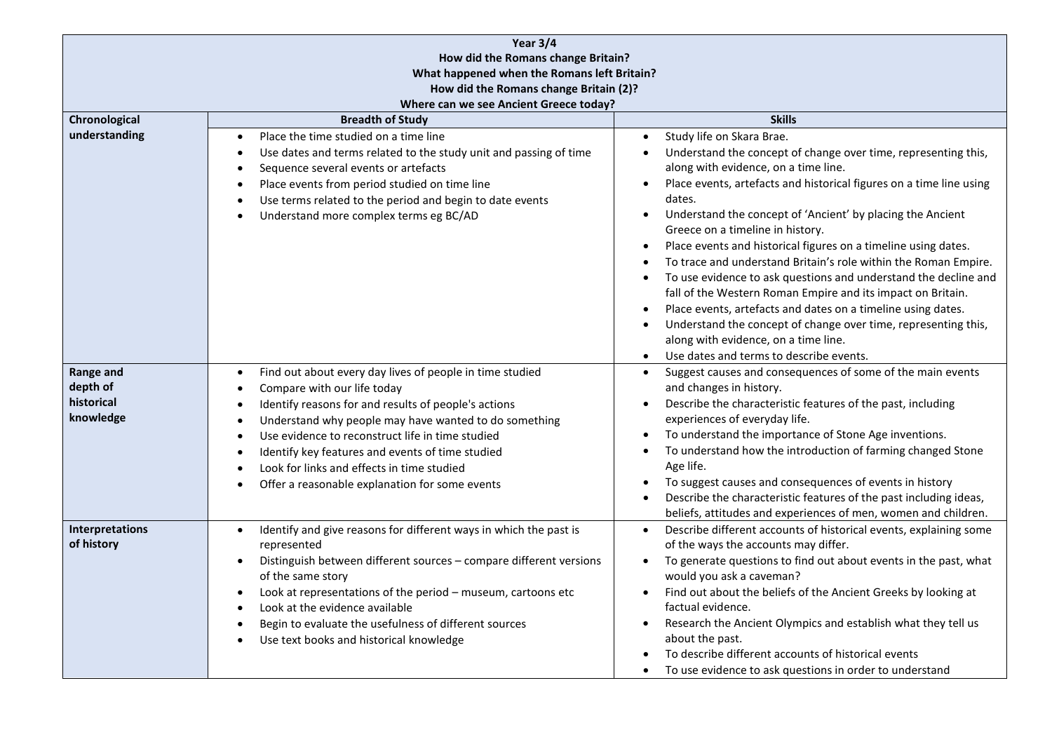| Year 3/4                                                |                                                                                                                                                                                                                                                                                                                                                                                                                               |                                                                                                                                                                                                                                                                                                                                                                                                                                                                                                                                                                                                                                                                                                                                                                                                                                                                                                               |  |  |
|---------------------------------------------------------|-------------------------------------------------------------------------------------------------------------------------------------------------------------------------------------------------------------------------------------------------------------------------------------------------------------------------------------------------------------------------------------------------------------------------------|---------------------------------------------------------------------------------------------------------------------------------------------------------------------------------------------------------------------------------------------------------------------------------------------------------------------------------------------------------------------------------------------------------------------------------------------------------------------------------------------------------------------------------------------------------------------------------------------------------------------------------------------------------------------------------------------------------------------------------------------------------------------------------------------------------------------------------------------------------------------------------------------------------------|--|--|
| How did the Romans change Britain?                      |                                                                                                                                                                                                                                                                                                                                                                                                                               |                                                                                                                                                                                                                                                                                                                                                                                                                                                                                                                                                                                                                                                                                                                                                                                                                                                                                                               |  |  |
| What happened when the Romans left Britain?             |                                                                                                                                                                                                                                                                                                                                                                                                                               |                                                                                                                                                                                                                                                                                                                                                                                                                                                                                                                                                                                                                                                                                                                                                                                                                                                                                                               |  |  |
| How did the Romans change Britain (2)?                  |                                                                                                                                                                                                                                                                                                                                                                                                                               |                                                                                                                                                                                                                                                                                                                                                                                                                                                                                                                                                                                                                                                                                                                                                                                                                                                                                                               |  |  |
| Where can we see Ancient Greece today?                  |                                                                                                                                                                                                                                                                                                                                                                                                                               |                                                                                                                                                                                                                                                                                                                                                                                                                                                                                                                                                                                                                                                                                                                                                                                                                                                                                                               |  |  |
| Chronological                                           | <b>Breadth of Study</b>                                                                                                                                                                                                                                                                                                                                                                                                       | <b>Skills</b>                                                                                                                                                                                                                                                                                                                                                                                                                                                                                                                                                                                                                                                                                                                                                                                                                                                                                                 |  |  |
| understanding                                           | Place the time studied on a time line<br>$\bullet$<br>Use dates and terms related to the study unit and passing of time<br>$\bullet$<br>Sequence several events or artefacts<br>Place events from period studied on time line<br>Use terms related to the period and begin to date events<br>Understand more complex terms eg BC/AD                                                                                           | Study life on Skara Brae.<br>Understand the concept of change over time, representing this,<br>$\bullet$<br>along with evidence, on a time line.<br>Place events, artefacts and historical figures on a time line using<br>$\bullet$<br>dates.<br>Understand the concept of 'Ancient' by placing the Ancient<br>$\bullet$<br>Greece on a timeline in history.<br>Place events and historical figures on a timeline using dates.<br>$\bullet$<br>To trace and understand Britain's role within the Roman Empire.<br>To use evidence to ask questions and understand the decline and<br>fall of the Western Roman Empire and its impact on Britain.<br>Place events, artefacts and dates on a timeline using dates.<br>$\bullet$<br>Understand the concept of change over time, representing this,<br>$\bullet$<br>along with evidence, on a time line.<br>Use dates and terms to describe events.<br>$\bullet$ |  |  |
| <b>Range and</b><br>depth of<br>historical<br>knowledge | Find out about every day lives of people in time studied<br>$\bullet$<br>Compare with our life today<br>Identify reasons for and results of people's actions<br>Understand why people may have wanted to do something<br>Use evidence to reconstruct life in time studied<br>Identify key features and events of time studied<br>Look for links and effects in time studied<br>Offer a reasonable explanation for some events | Suggest causes and consequences of some of the main events<br>$\bullet$<br>and changes in history.<br>Describe the characteristic features of the past, including<br>$\bullet$<br>experiences of everyday life.<br>To understand the importance of Stone Age inventions.<br>$\bullet$<br>To understand how the introduction of farming changed Stone<br>$\bullet$<br>Age life.<br>To suggest causes and consequences of events in history<br>$\bullet$<br>Describe the characteristic features of the past including ideas,<br>beliefs, attitudes and experiences of men, women and children.                                                                                                                                                                                                                                                                                                                 |  |  |
| <b>Interpretations</b><br>of history                    | Identify and give reasons for different ways in which the past is<br>$\bullet$<br>represented<br>Distinguish between different sources - compare different versions<br>$\bullet$<br>of the same story<br>Look at representations of the period - museum, cartoons etc<br>Look at the evidence available<br>Begin to evaluate the usefulness of different sources<br>Use text books and historical knowledge                   | Describe different accounts of historical events, explaining some<br>$\bullet$<br>of the ways the accounts may differ.<br>To generate questions to find out about events in the past, what<br>$\bullet$<br>would you ask a caveman?<br>Find out about the beliefs of the Ancient Greeks by looking at<br>$\bullet$<br>factual evidence.<br>Research the Ancient Olympics and establish what they tell us<br>$\bullet$<br>about the past.<br>To describe different accounts of historical events<br>To use evidence to ask questions in order to understand                                                                                                                                                                                                                                                                                                                                                    |  |  |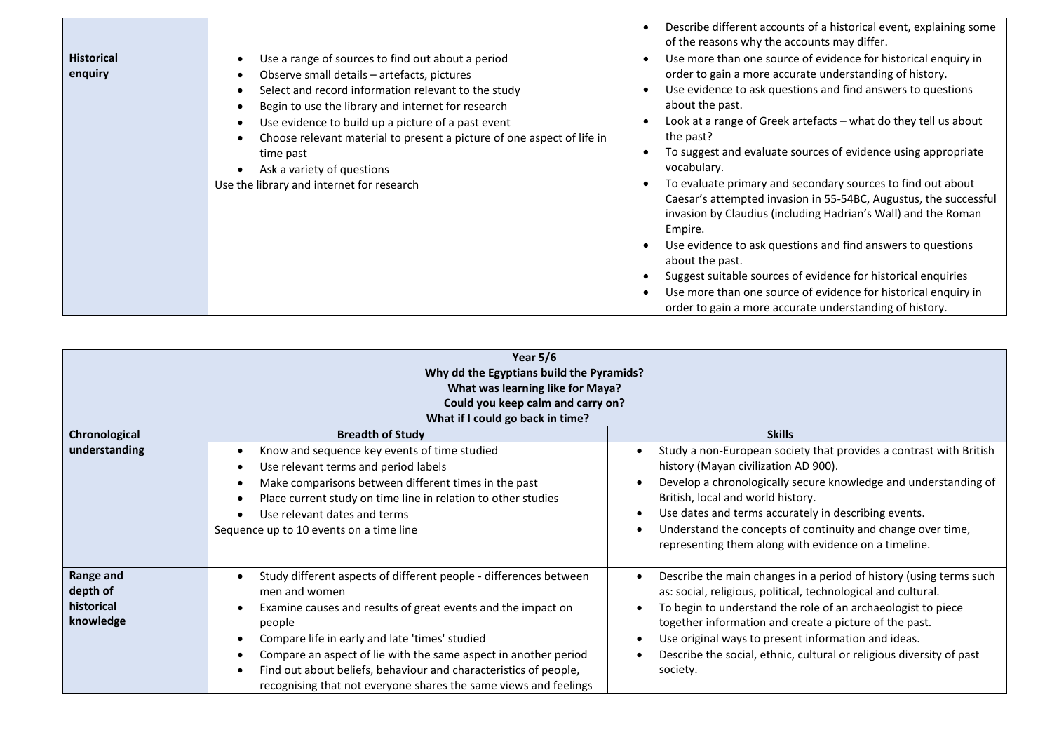|                              |                                                                                                                                                                                                                                                                                                                                                                                                                                       | Describe different accounts of a historical event, explaining some<br>of the reasons why the accounts may differ.                                                                                                                                                                                                                                                                                                                                                                                                                                                                                                                                                                                                                                                                                                                                                                       |
|------------------------------|---------------------------------------------------------------------------------------------------------------------------------------------------------------------------------------------------------------------------------------------------------------------------------------------------------------------------------------------------------------------------------------------------------------------------------------|-----------------------------------------------------------------------------------------------------------------------------------------------------------------------------------------------------------------------------------------------------------------------------------------------------------------------------------------------------------------------------------------------------------------------------------------------------------------------------------------------------------------------------------------------------------------------------------------------------------------------------------------------------------------------------------------------------------------------------------------------------------------------------------------------------------------------------------------------------------------------------------------|
| <b>Historical</b><br>enquiry | Use a range of sources to find out about a period<br>Observe small details - artefacts, pictures<br>Select and record information relevant to the study<br>Begin to use the library and internet for research<br>Use evidence to build up a picture of a past event<br>Choose relevant material to present a picture of one aspect of life in<br>time past<br>Ask a variety of questions<br>Use the library and internet for research | Use more than one source of evidence for historical enquiry in<br>order to gain a more accurate understanding of history.<br>Use evidence to ask questions and find answers to questions<br>$\bullet$<br>about the past.<br>Look at a range of Greek artefacts – what do they tell us about<br>the past?<br>To suggest and evaluate sources of evidence using appropriate<br>vocabulary.<br>To evaluate primary and secondary sources to find out about<br>Caesar's attempted invasion in 55-54BC, Augustus, the successful<br>invasion by Claudius (including Hadrian's Wall) and the Roman<br>Empire.<br>Use evidence to ask questions and find answers to questions<br>about the past.<br>Suggest suitable sources of evidence for historical enquiries<br>Use more than one source of evidence for historical enquiry in<br>order to gain a more accurate understanding of history. |

| Year $5/6$<br>Why dd the Egyptians build the Pyramids?<br>What was learning like for Maya?<br>Could you keep calm and carry on?<br>What if I could go back in time? |                                                                                                                                                                                                                                                                                                                                                                                                                           |                                                                                                                                                                                                                                                                                                                                                                                                          |  |  |
|---------------------------------------------------------------------------------------------------------------------------------------------------------------------|---------------------------------------------------------------------------------------------------------------------------------------------------------------------------------------------------------------------------------------------------------------------------------------------------------------------------------------------------------------------------------------------------------------------------|----------------------------------------------------------------------------------------------------------------------------------------------------------------------------------------------------------------------------------------------------------------------------------------------------------------------------------------------------------------------------------------------------------|--|--|
| Chronological<br>understanding                                                                                                                                      | <b>Breadth of Study</b><br>Know and sequence key events of time studied                                                                                                                                                                                                                                                                                                                                                   | <b>Skills</b><br>Study a non-European society that provides a contrast with British                                                                                                                                                                                                                                                                                                                      |  |  |
|                                                                                                                                                                     | Use relevant terms and period labels<br>Make comparisons between different times in the past<br>Place current study on time line in relation to other studies<br>Use relevant dates and terms<br>Sequence up to 10 events on a time line                                                                                                                                                                                  | history (Mayan civilization AD 900).<br>Develop a chronologically secure knowledge and understanding of<br>British, local and world history.<br>Use dates and terms accurately in describing events.<br>Understand the concepts of continuity and change over time,<br>representing them along with evidence on a timeline.                                                                              |  |  |
| Range and<br>depth of<br>historical<br>knowledge                                                                                                                    | Study different aspects of different people - differences between<br>men and women<br>Examine causes and results of great events and the impact on<br>people<br>Compare life in early and late 'times' studied<br>Compare an aspect of lie with the same aspect in another period<br>Find out about beliefs, behaviour and characteristics of people,<br>recognising that not everyone shares the same views and feelings | Describe the main changes in a period of history (using terms such<br>as: social, religious, political, technological and cultural.<br>To begin to understand the role of an archaeologist to piece<br>together information and create a picture of the past.<br>Use original ways to present information and ideas.<br>Describe the social, ethnic, cultural or religious diversity of past<br>society. |  |  |